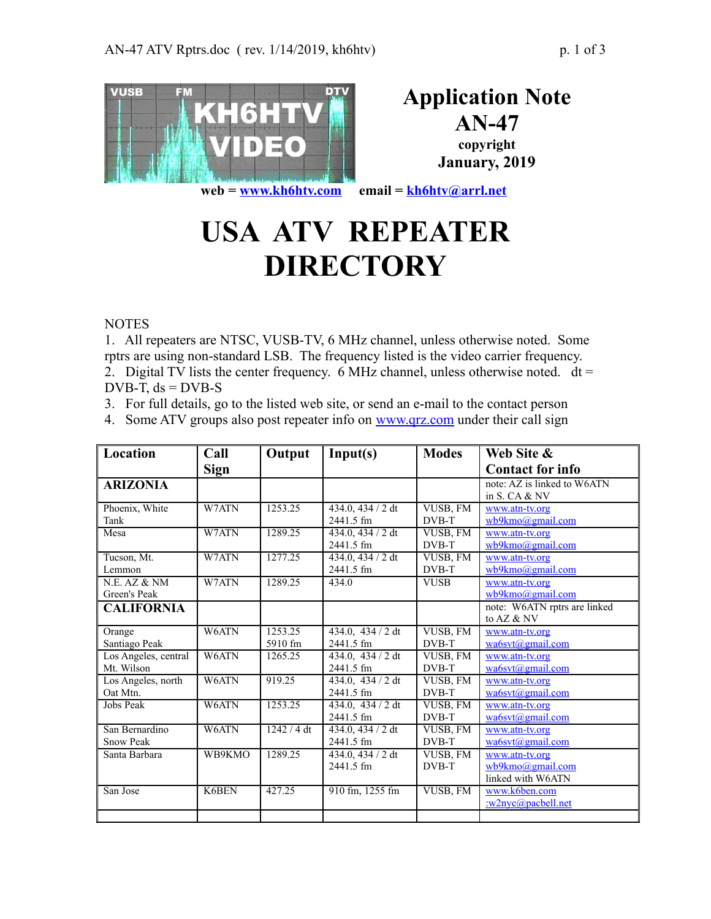

**Application Note AN-47**

**copyright January, 2019**

**web = [www.kh6htv.com](http://www.kh6htv.com/) email = [kh6htv@arrl.net](mailto:kh6htv@arrl.net)**

## **USA ATV REPEATER DIRECTORY**

**NOTES** 

1. All repeaters are NTSC, VUSB-TV, 6 MHz channel, unless otherwise noted. Some rptrs are using non-standard LSB. The frequency listed is the video carrier frequency. 2. Digital TV lists the center frequency. 6 MHz channel, unless otherwise noted.  $dt =$ 

DVB-T,  $ds = DVB-S$ 

- 3. For full details, go to the listed web site, or send an e-mail to the contact person
- 4. Some ATV groups also post repeater info on [www.qrz.com](http://www.qrz.com/) under their call sign

| Location             | Call        | Output      | Input(s)                  | <b>Modes</b> | Web Site &                   |
|----------------------|-------------|-------------|---------------------------|--------------|------------------------------|
|                      | <b>Sign</b> |             |                           |              | <b>Contact for info</b>      |
| <b>ARIZONIA</b>      |             |             |                           |              | note: AZ is linked to W6ATN  |
|                      |             |             |                           |              | in S. CA & NV                |
| Phoenix, White       | W7ATN       | 1253.25     | 434.0, 434 / 2 dt         | VUSB, FM     | www.atn-tv.org               |
| Tank                 |             |             | 2441.5 fm                 | DVB-T        | wb9kmo@gmail.com             |
| Mesa                 | W7ATN       | 1289.25     | 434.0, 434 / 2 dt         | VUSB, FM     | www.atn-tv.org               |
|                      |             |             | 2441.5 fm                 | DVB-T        | wb9kmo@gmail.com             |
| Tucson, Mt.          | W7ATN       | 1277.25     | 434.0, 434 / 2 dt         | VUSB, FM     | www.atn-tv.org               |
| Lemmon               |             |             | 2441.5 fm                 | DVB-T        | wb9kmo@gmail.com             |
| N.E. AZ & NM         | W7ATN       | 1289.25     | 434.0                     | <b>VUSB</b>  | www.atn-tv.org               |
| Green's Peak         |             |             |                           |              | wb9kmo@gmail.com             |
| <b>CALIFORNIA</b>    |             |             |                           |              | note: W6ATN rptrs are linked |
|                      |             |             |                           |              | to AZ & NV                   |
| Orange               | W6ATN       | 1253.25     | $434.0$ , $434/2 dt$      | VUSB, FM     | www.atn-tv.org               |
| Santiago Peak        |             | 5910 fm     | 2441.5 fm                 | DVB-T        | $w$ a6svt@gmail.com          |
| Los Angeles, central | W6ATN       | 1265.25     | 434.0, $\frac{434}{2}$ dt | VUSB, FM     | www.atn-tv.org               |
| Mt. Wilson           |             |             | 2441.5 fm                 | DVB-T        | wa6svt@gmail.com             |
| Los Angeles, north   | W6ATN       | 919.25      | $434.0$ , $434/2 dt$      | VUSB, FM     | www.atn-tv.org               |
| Oat Mtn.             |             |             | 2441.5 fm                 | DVB-T        | wa6svt@gmail.com             |
| Jobs Peak            | W6ATN       | 1253.25     | 434.0, 434 / 2 dt         | VUSB, FM     | www.atn-tv.org               |
|                      |             |             | 2441.5 fm                 | DVB-T        | wa6svt@gmail.com             |
| San Bernardino       | W6ATN       | 1242 / 4 dt | 434.0, 434 / 2 dt         | VUSB, FM     | www.atn-tv.org               |
| <b>Snow Peak</b>     |             |             | 2441.5 fm                 | DVB-T        | wa6svt@gmail.com             |
| Santa Barbara        | WB9KMO      | 1289.25     | 434.0, 434 / 2 dt         | VUSB, FM     | www.atn-tv.org               |
|                      |             |             | 2441.5 fm                 | DVB-T        | wb9kmo@gmail.com             |
|                      |             |             |                           |              | linked with W6ATN            |
| San Jose             | K6BEN       | 427.25      | 910 fm, 1255 fm           | VUSB, FM     | www.k6ben.com                |
|                      |             |             |                           |              | :w2nyc@pacbell.net           |
|                      |             |             |                           |              |                              |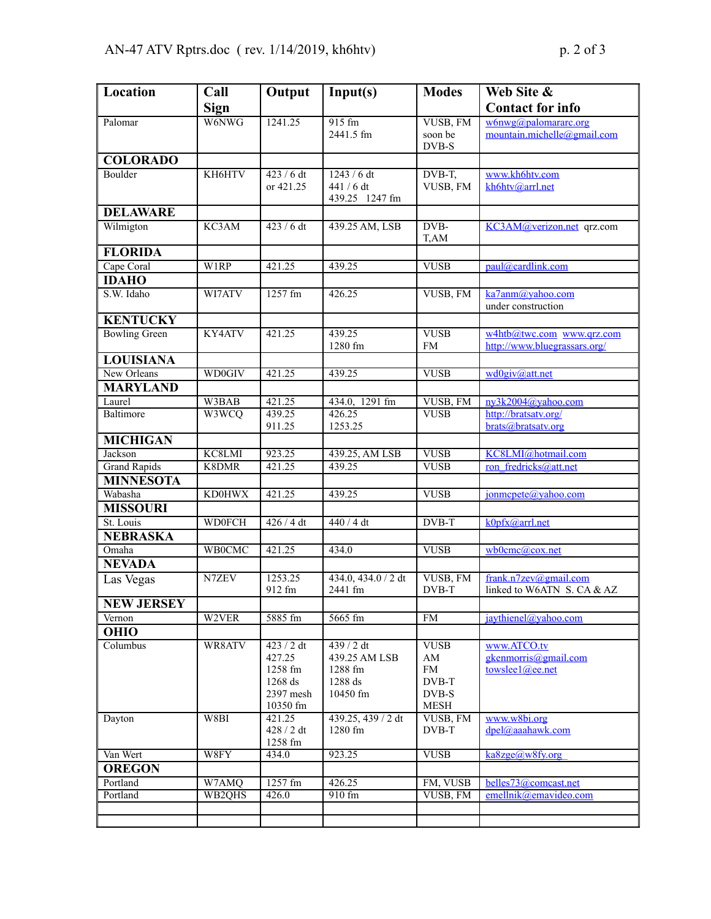| Location                  | Call          | Output            | Input(s)                 | <b>Modes</b> | Web Site &                                 |
|---------------------------|---------------|-------------------|--------------------------|--------------|--------------------------------------------|
|                           | <b>Sign</b>   |                   |                          |              | <b>Contact for info</b>                    |
| Palomar                   | W6NWG         | 1241.25           | 915 fm                   | VUSB, FM     | w6nwg@palomararc.org                       |
|                           |               |                   | 2441.5 fm                | soon be      | mountain.michelle@gmail.com                |
|                           |               |                   |                          | DVB-S        |                                            |
| <b>COLORADO</b>           |               |                   |                          |              |                                            |
| Boulder                   | KH6HTV        | $423/6$ dt        | 1243 / 6 dt              | DVB-T,       | www.kh6htv.com                             |
|                           |               | or 421.25         | 441 / 6 dt               | VUSB, FM     | kh6htv@arrl.net                            |
|                           |               |                   | 439.25 1247 fm           |              |                                            |
| <b>DELAWARE</b>           | KC3AM         | $423/6$ dt        | 439.25 AM, LSB           | DVB-         |                                            |
| Wilmigton                 |               |                   |                          | T,AM         | KC3AM@verizon.net qrz.com                  |
| <b>FLORIDA</b>            |               |                   |                          |              |                                            |
| Cape Coral                | W1RP          | 421.25            | 439.25                   | <b>VUSB</b>  | paul@cardlink.com                          |
| <b>IDAHO</b>              |               |                   |                          |              |                                            |
| S.W. Idaho                | WI7ATV        | 1257 fm           | 426.25                   | VUSB, FM     | ka7anm@yahoo.com                           |
|                           |               |                   |                          |              | under construction                         |
| <b>KENTUCKY</b>           |               |                   |                          |              |                                            |
| <b>Bowling Green</b>      | KY4ATV        | 421.25            | 439.25                   | <b>VUSB</b>  | w4htb@twc.com www.qrz.com                  |
|                           |               |                   | 1280 fm                  | <b>FM</b>    | http://www.bluegrassars.org/               |
| <b>LOUISIANA</b>          |               |                   |                          |              |                                            |
| New Orleans               | <b>WD0GIV</b> | 421.25            | 439.25                   | <b>VUSB</b>  | wd0giv@att.net                             |
| <b>MARYLAND</b>           |               |                   |                          |              |                                            |
| Laurel                    | W3BAB         | 421.25            | 434.0, 1291 fm           | VUSB, FM     | ny3k2004@yahoo.com                         |
| Baltimore                 | W3WCQ         | 439.25<br>911.25  | 426.25<br>1253.25        | <b>VUSB</b>  | http://bratsatv.org/<br>brats@bratsatv.org |
| <b>MICHIGAN</b>           |               |                   |                          |              |                                            |
| Jackson                   | KC8LMI        | 923.25            | 439.25, AM LSB           | <b>VUSB</b>  | KC8LMI@hotmail.com                         |
| <b>Grand Rapids</b>       | K8DMR         | 421.25            | 439.25                   | <b>VUSB</b>  | ron fredricks@att.net                      |
| <b>MINNESOTA</b>          |               |                   |                          |              |                                            |
| Wabasha                   | <b>KD0HWX</b> | 421.25            | 439.25                   | <b>VUSB</b>  | jonmcpete@yahoo.com                        |
| <b>MISSOURI</b>           |               |                   |                          |              |                                            |
| St. Louis                 | <b>WD0FCH</b> | 426/4 dt          | 440 / 4 dt               | $DVB-T$      | k0pfx@arrl.net                             |
| <b>NEBRASKA</b>           |               |                   |                          |              |                                            |
| Omaha                     | <b>WB0CMC</b> | 421.25            | 434.0                    | <b>VUSB</b>  | wb0cmc@cox.net                             |
| <b>NEVADA</b>             |               |                   |                          |              |                                            |
| Las Vegas                 | N7ZEV         | 1253.25           | 434.0, 434.0 / 2 dt      | VUSB, FM     | frank.n7zev@gmail.com                      |
|                           |               | 912 fm            | 2441 fm                  | DVB-T        | linked to W6ATN S. CA & AZ                 |
| <b>NEW JERSEY</b>         |               |                   |                          |              |                                            |
| Vernon                    | W2VER         | 5885 fm           | 5665 fm                  | <b>FM</b>    | jaythienel@yahoo.com                       |
| <b>OHIO</b>               |               |                   |                          |              |                                            |
| Columbus                  | WR8ATV        | 423 / 2 dt        | 439/2 dt                 | <b>VUSB</b>  | www.ATCO.tv                                |
|                           |               | 427.25<br>1258 fm | 439.25 AM LSB<br>1288 fm | AM<br>FM     | gkenmorris@gmail.com<br>towslee1@ee.net    |
|                           |               | 1268 ds           | 1288 ds                  | DVB-T        |                                            |
|                           |               | 2397 mesh         | 10450 fm                 | DVB-S        |                                            |
|                           |               | 10350 fm          |                          | <b>MESH</b>  |                                            |
| Dayton                    | W8BI          | 421.25            | 439.25, 439 / 2 dt       | VUSB, FM     | www.w8bi.org                               |
|                           |               | 428/2 dt          | 1280 fm                  | DVB-T        | dpel@aaahawk.com                           |
|                           | W8FY          | 1258 fm           | 923.25                   | <b>VUSB</b>  |                                            |
| Van Wert<br><b>OREGON</b> |               | 434.0             |                          |              | $k$ a8zge@w8fy.org                         |
| Portland                  | W7AMQ         | 1257 fm           | 426.25                   | FM, VUSB     | belles73@comcast.net                       |
| Portland                  | WB2QHS        | 426.0             | 910 fm                   | VUSB, FM     | emellnik@emavideo.com                      |
|                           |               |                   |                          |              |                                            |
|                           |               |                   |                          |              |                                            |